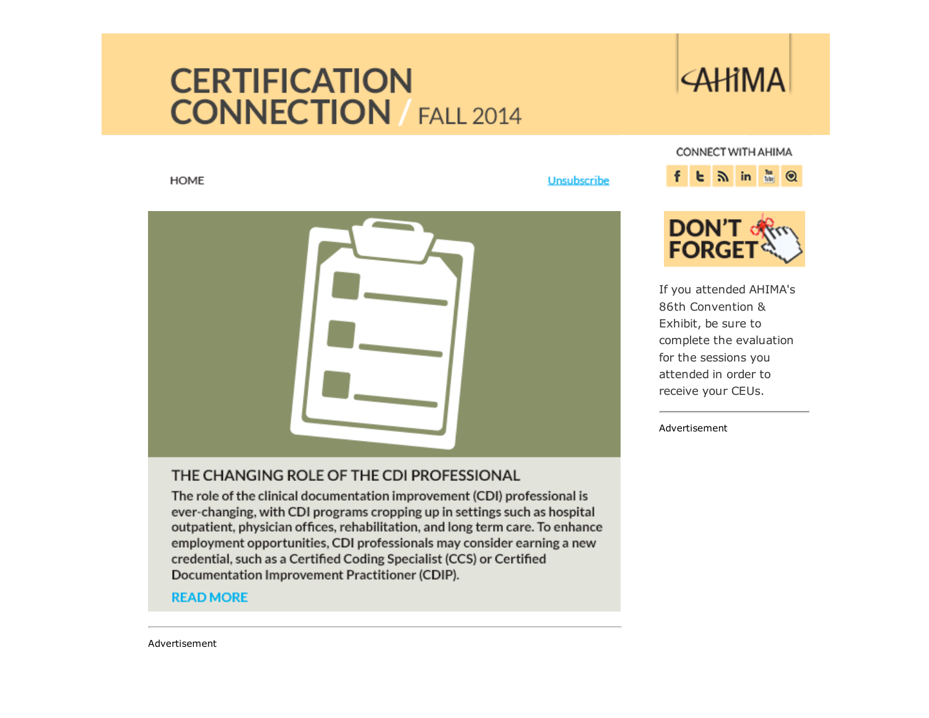### **CERTIFICATION CONNECTION** FALL 2014

## **AHIMA**

**HOME** 

Unsubscribe



complete the evaluation for the sessions you attended in order to receive your CEUs.





#### THE CHANGING ROLE OF THE CDI PROFESSIONAL

The role of the clinical documentation improvement (CDI) professional is ever-changing, with CDI programs cropping up in settings such as hospital outpatient, physician offices, rehabilitation, and long term care. To enhance employment opportunities, CDI professionals may consider earning a new credential, such as a Certified Coding Specialist (CCS) or Certified Documentation Improvement Practitioner (CDIP).

#### **READ MORE**

Advertisement

Advertisement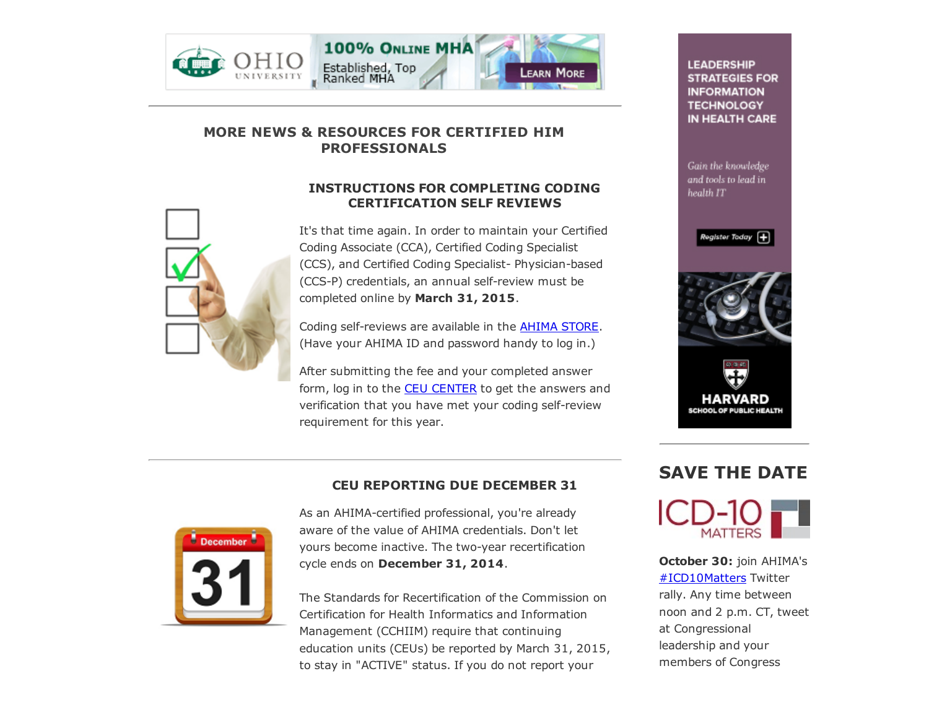



#### MORE NEWS & RESOURCES FOR CERTIFIED HIM PROFESSIONALS

#### INSTRUCTIONS FOR COMPLETING CODING CERTIFICATION SELF REVIEWS

It's that time again. In order to maintain your Certified Coding Associate (CCA), Certified Coding Specialist (CCS), and Certified Coding Specialist-Physician-based (CCS-P) credentials, an annual self-review must be completed online by March 31, 2015.

Coding self-reviews are available in the AHIMA [STORE.](https://www.ahimastore.org/ProductList.aspx?CategoryID=1336) (Have your AHIMA ID and password handy to log in.)

After submitting the fee and your completed answer form, log in to the **CEU [CENTER](https://secure.ahima.org/certification/ce/cereporting/)** to get the answers and verification that you have met your coding self-review requirement for this year.

**LEADERSHIP STRATEGIES FOR INFORMATION TECHNOLOGY** IN HEALTH CARE

Gain the knowledge and tools to lead in health IT









#### CEU REPORTING DUE DECEMBER 31

As an AHIMA-certified professional, you're already aware of the value of AHIMA credentials. Don't let yours become inactive. The two-year recertification cycle ends on December 31, 2014.

The Standards for Recertification of the Commission on Certification for Health Informatics and Information Management (CCHIIM) require that continuing education units (CEUs) be reported by March 31, 2015, to stay in "ACTIVE" status. If you do not report your

# SAVE THE DATE



October 30: join AHIMA's [#ICD10Matters](https://twitter.com/hashtag/icd10matters) Twitter rally. Any time between noon and 2 p.m. CT, tweet at Congressional leadership and your members of Congress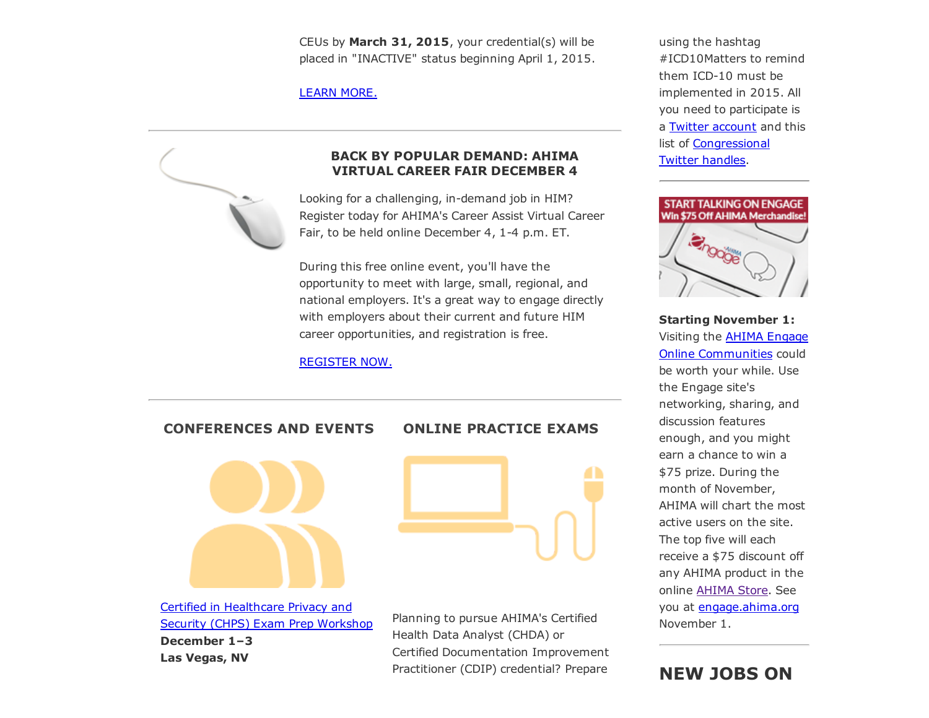CEUs by March 31, 2015, your credential(s) will be placed in "INACTIVE" status beginning April 1, 2015.

[LEARN](http://www.ahima.org/certification/Recertification) MORE.



#### BACK BY POPULAR DEMAND: AHIMA VIRTUAL CAREER FAIR DECEMBER 4

Looking for a challenging, in-demand job in HIM? Register today for AHIMA's Career Assist Virtual Career Fair, to be held online December 4, 1-4 p.m. ET.

During this free online event, you'll have the opportunity to meet with large, small, regional, and national employers. It's a great way to engage directly with employers about their current and future HIM career opportunities, and registration is free.

[REGISTER](http://brazenconnect.com/event/ahima_december_2014) NOW.

CONFERENCES AND EVENTS

#### ONLINE PRACTICE EXAMS



Certified in [Healthcare](http://www.ahima.org/events/2014dec-chps-vegas) Privacy and Security (CHPS) Exam Prep Workshop December 1–3 Las Vegas, NV



Planning to pursue AHIMA's Certified Health Data Analyst (CHDA) or Certified Documentation Improvement Practitioner (CDIP) credential? Prepare

using the hashtag #ICD10Matters to remind them ICD-10 must be implemented in 2015. All you need to participate is a Twitter [account](https://twitter.com/) and this list of [Congressional](http://stuffthought.com/blog/113th-congress-twitter-handles/) Twitter handles.



Starting November 1: Visiting the AHIMA Engage Online [Communities](http://engage.ahima.org/) could be worth your while. Use the Engage site's networking, sharing, and discussion features enough, and you might earn a chance to win a \$75 prize. During the month of November, AHIMA will chart the most active users on the site. The top five will each receive a \$75 discount off any AHIMA product in the online [AHIMA](https://www.ahimastore.org/) Store. See you at [engage.ahima.org](http://engage.ahima.org/) November 1.

#### NEW JOBS ON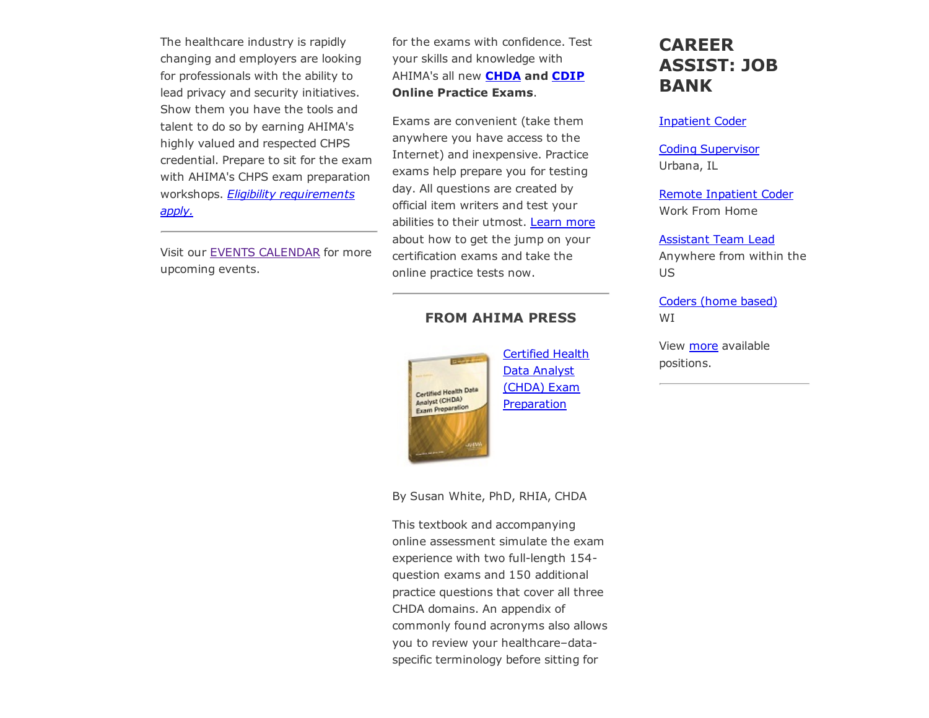The healthcare industry is rapidly changing and employers are looking for professionals with the ability to lead privacy and security initiatives. Show them you have the tools and talent to do so by earning AHIMA's highly valued and respected CHPS credential. Prepare to sit for the exam with AHIMA's CHPS exam preparation workshops. *Eligibility [requirements](http://www.ahima.org/certification/chps) apply.*

Visit our EVENTS [CALENDAR](http://www.ahima.org/events) for more upcoming events.

for the exams with confidence. Test your skills and knowledge with AHIMA's all new **[CHDA](https://www.ahimastore.org/ProductDetailCertifications.aspx?ProductID=17559) and [CDIP](https://www.ahimastore.org/ProductDetailCertifications.aspx?ProductID=17584)** Online Practice Exams.

Exams are convenient (take them anywhere you have access to the Internet) and inexpensive. Practice exams help prepare you for testing day. All questions are created by official item writers and test your abilities to their utmost. [Learn](http://www.ahima.org/certification) more about how to get the jump on your certification exams and take the online practice tests now.

#### FROM AHIMA PRESS



Certified Health Data Analyst (CHDA) Exam **[Preparation](https://www.ahimastore.org/ProductDetailBooks.aspx?ProductID=17515)** 

CAREER ASSIST: JOB BANK

#### [Inpatient](http://careerassist.ahima.org/jobseeker/job/17236097/) Coder

Coding [Supervisor](http://careerassist.ahima.org/jobseeker/job/20670809/) Urbana, IL

Remote [Inpatient](http://careerassist.ahima.org/jobseeker/job/15787124/) Coder Work From Home

#### [Assistant](http://careerassist.ahima.org/jobseeker/job/19270268/) Team Lead

Anywhere from within the US

[Coders](http://careerassist.ahima.org/jobseeker/job/6199390/) (home based) WI

View [more](http://careerassist.ahima.org/home/home.cfm?site_id=681) available positions.

By Susan White, PhD, RHIA, CHDA

This textbook and accompanying online assessment simulate the exam experience with two full-length 154question exams and 150 additional practice questions that cover all three CHDA domains. An appendix of commonly found acronyms also allows you to review your healthcare–dataspecific terminology before sitting for